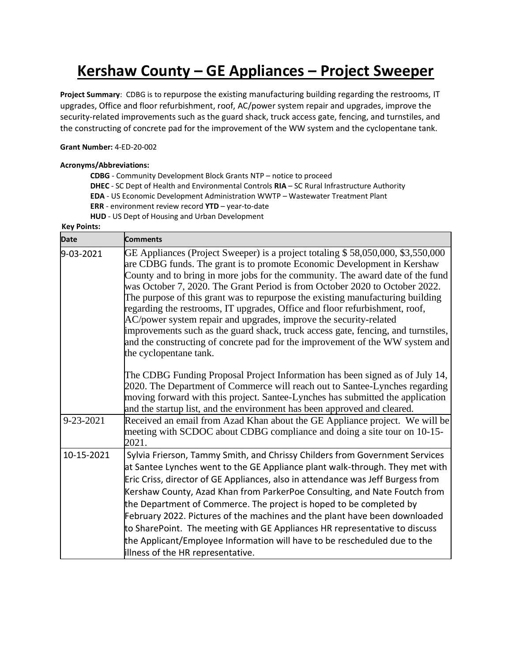## **Kershaw County – GE Appliances – Project Sweeper**

**Project Summary**: CDBG is to repurpose the existing manufacturing building regarding the restrooms, IT upgrades, Office and floor refurbishment, roof, AC/power system repair and upgrades, improve the security-related improvements such as the guard shack, truck access gate, fencing, and turnstiles, and the constructing of concrete pad for the improvement of the WW system and the cyclopentane tank.

## **Grant Number:** 4-ED-20-002

## **Acronyms/Abbreviations:**

**CDBG** - Community Development Block Grants NTP – notice to proceed **DHEC** - SC Dept of Health and Environmental Controls **RIA** – SC Rural Infrastructure Authority **EDA** - US Economic Development Administration WWTP – Wastewater Treatment Plant **ERR** - environment review record **YTD** – year-to-date **HUD** - US Dept of Housing and Urban Development

## **Key Points:**

| <b>Date</b> | <b>Comments</b>                                                                                                                                                                                                                                                                                                                                                                                                                                                                                                                                                                                                                                                                                                                                                   |
|-------------|-------------------------------------------------------------------------------------------------------------------------------------------------------------------------------------------------------------------------------------------------------------------------------------------------------------------------------------------------------------------------------------------------------------------------------------------------------------------------------------------------------------------------------------------------------------------------------------------------------------------------------------------------------------------------------------------------------------------------------------------------------------------|
| 9-03-2021   | GE Appliances (Project Sweeper) is a project totaling \$58,050,000, \$3,550,000<br>are CDBG funds. The grant is to promote Economic Development in Kershaw<br>County and to bring in more jobs for the community. The award date of the fund<br>was October 7, 2020. The Grant Period is from October 2020 to October 2022.<br>The purpose of this grant was to repurpose the existing manufacturing building<br>regarding the restrooms, IT upgrades, Office and floor refurbishment, roof,<br>AC/power system repair and upgrades, improve the security-related<br>improvements such as the guard shack, truck access gate, fencing, and turnstiles,<br>and the constructing of concrete pad for the improvement of the WW system and<br>the cyclopentane tank. |
|             | The CDBG Funding Proposal Project Information has been signed as of July 14,<br>2020. The Department of Commerce will reach out to Santee-Lynches regarding<br>moving forward with this project. Santee-Lynches has submitted the application<br>and the startup list, and the environment has been approved and cleared.                                                                                                                                                                                                                                                                                                                                                                                                                                         |
| 9-23-2021   | Received an email from Azad Khan about the GE Appliance project. We will be<br>meeting with SCDOC about CDBG compliance and doing a site tour on 10-15-<br>2021.                                                                                                                                                                                                                                                                                                                                                                                                                                                                                                                                                                                                  |
| 10-15-2021  | Sylvia Frierson, Tammy Smith, and Chrissy Childers from Government Services<br>at Santee Lynches went to the GE Appliance plant walk-through. They met with<br>Eric Criss, director of GE Appliances, also in attendance was Jeff Burgess from<br>Kershaw County, Azad Khan from ParkerPoe Consulting, and Nate Foutch from<br>the Department of Commerce. The project is hoped to be completed by<br>February 2022. Pictures of the machines and the plant have been downloaded<br>to SharePoint. The meeting with GE Appliances HR representative to discuss<br>the Applicant/Employee Information will have to be rescheduled due to the<br>illness of the HR representative.                                                                                  |